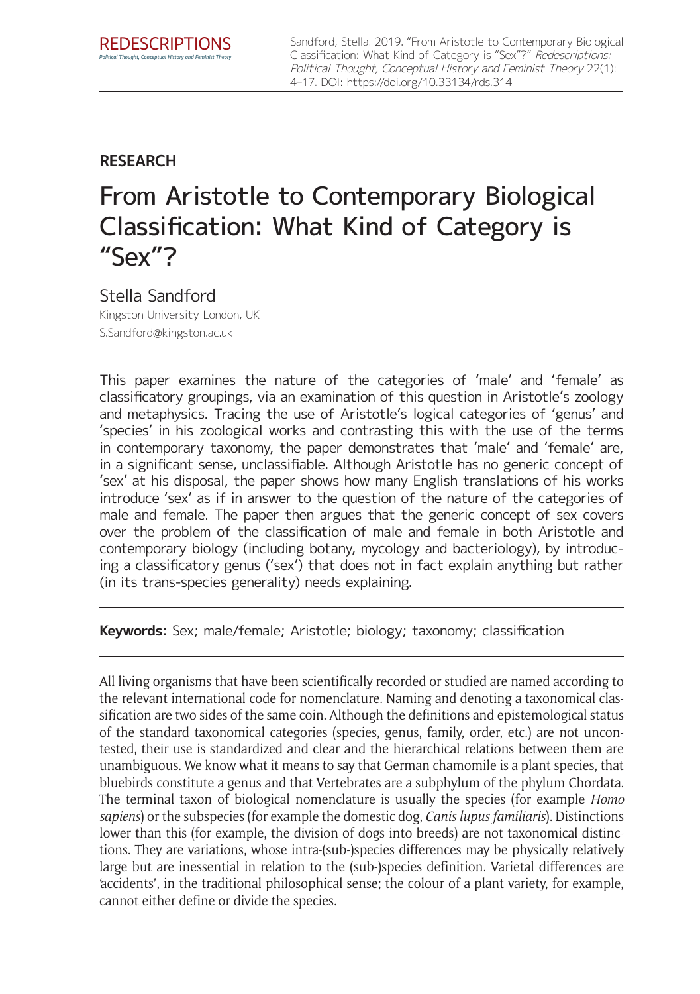Sandford, Stella. 2019. "From Aristotle to Contemporary Biological Classification: What Kind of Category is "Sex"?" Redescriptions: Political Thought, Conceptual History and Feminist Theory 22(1): 4–17. DOI:<https://doi.org/10.33134/rds.314>

# **RESEARCH**

# From Aristotle to Contemporary Biological Classification: What Kind of Category is "Sex"?

# Stella Sandford

Kingston University London, UK [S.Sandford@kingston.ac.uk](mailto:S.Sandford@kingston.ac.uk)

This paper examines the nature of the categories of 'male' and 'female' as classificatory groupings, via an examination of this question in Aristotle's zoology and metaphysics. Tracing the use of Aristotle's logical categories of 'genus' and 'species' in his zoological works and contrasting this with the use of the terms in contemporary taxonomy, the paper demonstrates that 'male' and 'female' are, in a significant sense, unclassifiable. Although Aristotle has no generic concept of 'sex' at his disposal, the paper shows how many English translations of his works introduce 'sex' as if in answer to the question of the nature of the categories of male and female. The paper then argues that the generic concept of sex covers over the problem of the classification of male and female in both Aristotle and contemporary biology (including botany, mycology and bacteriology), by introducing a classificatory genus ('sex') that does not in fact explain anything but rather (in its trans-species generality) needs explaining.

**Keywords:** Sex; male/female; Aristotle; biology; taxonomy; classification

All living organisms that have been scientifically recorded or studied are named according to the relevant international code for nomenclature. Naming and denoting a taxonomical classification are two sides of the same coin. Although the definitions and epistemological status of the standard taxonomical categories (species, genus, family, order, etc.) are not uncontested, their use is standardized and clear and the hierarchical relations between them are unambiguous. We know what it means to say that German chamomile is a plant species, that bluebirds constitute a genus and that Vertebrates are a subphylum of the phylum Chordata. The terminal taxon of biological nomenclature is usually the species (for example *Homo sapiens*) or the subspecies (for example the domestic dog, *Canis lupus familiaris*). Distinctions lower than this (for example, the division of dogs into breeds) are not taxonomical distinctions. They are variations, whose intra-(sub-)species differences may be physically relatively large but are inessential in relation to the (sub-)species definition. Varietal differences are 'accidents', in the traditional philosophical sense; the colour of a plant variety, for example, cannot either define or divide the species.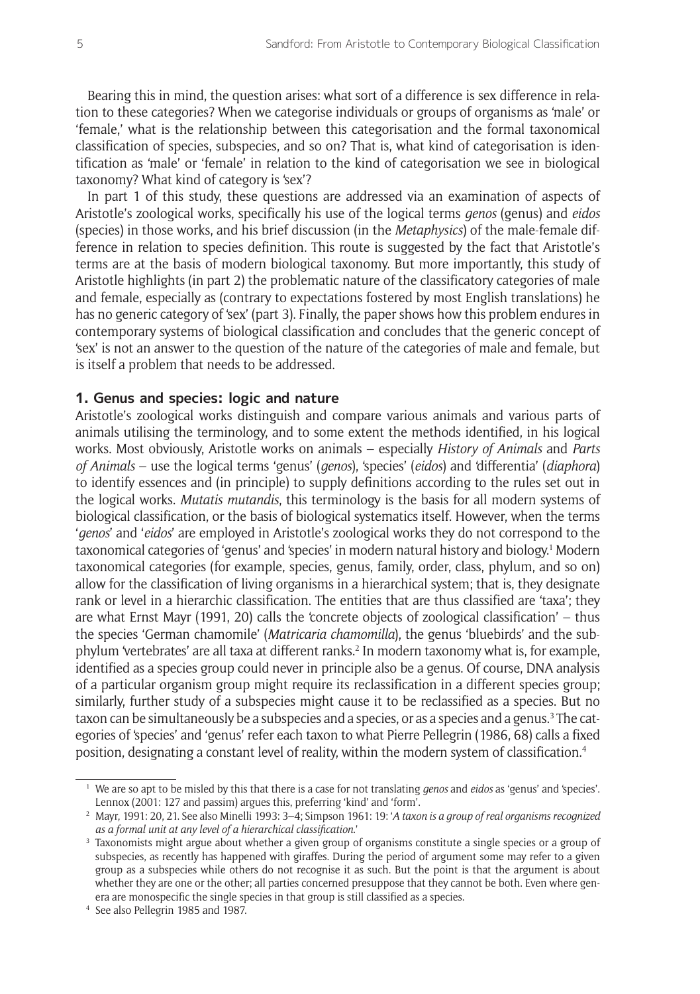Bearing this in mind, the question arises: what sort of a difference is sex difference in relation to these categories? When we categorise individuals or groups of organisms as 'male' or 'female,' what is the relationship between this categorisation and the formal taxonomical classification of species, subspecies, and so on? That is, what kind of categorisation is identification as 'male' or 'female' in relation to the kind of categorisation we see in biological taxonomy? What kind of category is 'sex'?

In part 1 of this study, these questions are addressed via an examination of aspects of Aristotle's zoological works, specifically his use of the logical terms *genos* (genus) and *eidos* (species) in those works, and his brief discussion (in the *Metaphysics*) of the male-female difference in relation to species definition. This route is suggested by the fact that Aristotle's terms are at the basis of modern biological taxonomy. But more importantly, this study of Aristotle highlights (in part 2) the problematic nature of the classificatory categories of male and female, especially as (contrary to expectations fostered by most English translations) he has no generic category of 'sex' (part 3). Finally, the paper shows how this problem endures in contemporary systems of biological classification and concludes that the generic concept of 'sex' is not an answer to the question of the nature of the categories of male and female, but is itself a problem that needs to be addressed.

### **1. Genus and species: logic and nature**

Aristotle's zoological works distinguish and compare various animals and various parts of animals utilising the terminology, and to some extent the methods identified, in his logical works. Most obviously, Aristotle works on animals – especially *History of Animals* and *Parts of Animals* – use the logical terms 'genus' (*genos*), 'species' (*eidos*) and 'differentia' (*diaphora*) to identify essences and (in principle) to supply definitions according to the rules set out in the logical works. *Mutatis mutandis*, this terminology is the basis for all modern systems of biological classification, or the basis of biological systematics itself. However, when the terms '*genos*' and '*eidos*' are employed in Aristotle's zoological works they do not correspond to the taxonomical categories of 'genus' and 'species' in modern natural history and biology.<sup>1</sup> Modern taxonomical categories (for example, species, genus, family, order, class, phylum, and so on) allow for the classification of living organisms in a hierarchical system; that is, they designate rank or level in a hierarchic classification. The entities that are thus classified are 'taxa'; they are what Ernst Mayr (1991, 20) calls the 'concrete objects of zoological classification' – thus the species 'German chamomile' (*Matricaria chamomilla*), the genus 'bluebirds' and the subphylum 'vertebrates' are all taxa at different ranks.<sup>2</sup> In modern taxonomy what is, for example, identified as a species group could never in principle also be a genus. Of course, DNA analysis of a particular organism group might require its reclassification in a different species group; similarly, further study of a subspecies might cause it to be reclassified as a species. But no taxon can be simultaneously be a subspecies and a species, or as a species and a genus.<sup>3</sup> The categories of 'species' and 'genus' refer each taxon to what Pierre Pellegrin (1986, 68) calls a fixed position, designating a constant level of reality, within the modern system of classification.4

<sup>1</sup> We are so apt to be misled by this that there is a case for not translating *genos* and *eidos* as 'genus' and 'species'. Lennox (2001: 127 and passim) argues this, preferring 'kind' and 'form'.

<sup>2</sup> Mayr, 1991: 20, 21. See also Minelli 1993: 3–4; Simpson 1961: 19: '*A taxon is a group of real organisms recognized as a formal unit at any level of a hierarchical classification*.'

<sup>&</sup>lt;sup>3</sup> Taxonomists might argue about whether a given group of organisms constitute a single species or a group of subspecies, as recently has happened with giraffes. During the period of argument some may refer to a given group as a subspecies while others do not recognise it as such. But the point is that the argument is about whether they are one or the other; all parties concerned presuppose that they cannot be both. Even where genera are monospecific the single species in that group is still classified as a species.

<sup>4</sup> See also Pellegrin 1985 and 1987.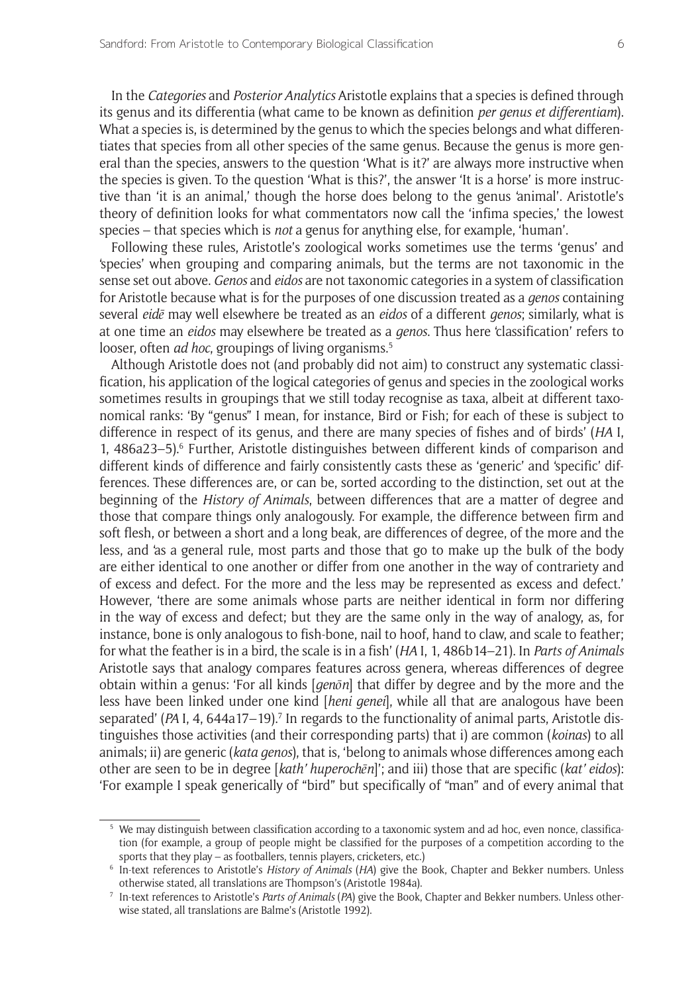In the *Categories* and *Posterior Analytics* Aristotle explains that a species is defined through its genus and its differentia (what came to be known as definition *per genus et differentiam*). What a species is, is determined by the genus to which the species belongs and what differentiates that species from all other species of the same genus. Because the genus is more general than the species, answers to the question 'What is it?' are always more instructive when the species is given. To the question 'What is this?', the answer 'It is a horse' is more instructive than 'it is an animal,' though the horse does belong to the genus 'animal'. Aristotle's theory of definition looks for what commentators now call the 'infima species,' the lowest species – that species which is *not* a genus for anything else, for example, 'human'.

Following these rules, Aristotle's zoological works sometimes use the terms 'genus' and 'species' when grouping and comparing animals, but the terms are not taxonomic in the sense set out above. *Genos* and *eidos* are not taxonomic categories in a system of classification for Aristotle because what is for the purposes of one discussion treated as a *genos* containing several *eidē* may well elsewhere be treated as an *eidos* of a different *genos*; similarly, what is at one time an *eidos* may elsewhere be treated as a *genos*. Thus here 'classification' refers to looser, often *ad hoc*, groupings of living organisms.<sup>5</sup>

Although Aristotle does not (and probably did not aim) to construct any systematic classification, his application of the logical categories of genus and species in the zoological works sometimes results in groupings that we still today recognise as taxa, albeit at different taxonomical ranks: 'By "genus" I mean, for instance, Bird or Fish; for each of these is subject to difference in respect of its genus, and there are many species of fishes and of birds' (*HA* I, 1, 486a23–5).6 Further, Aristotle distinguishes between different kinds of comparison and different kinds of difference and fairly consistently casts these as 'generic' and 'specific' differences. These differences are, or can be, sorted according to the distinction, set out at the beginning of the *History of Animals*, between differences that are a matter of degree and those that compare things only analogously. For example, the difference between firm and soft flesh, or between a short and a long beak, are differences of degree, of the more and the less, and 'as a general rule, most parts and those that go to make up the bulk of the body are either identical to one another or differ from one another in the way of contrariety and of excess and defect. For the more and the less may be represented as excess and defect.' However, 'there are some animals whose parts are neither identical in form nor differing in the way of excess and defect; but they are the same only in the way of analogy, as, for instance, bone is only analogous to fish-bone, nail to hoof, hand to claw, and scale to feather; for what the feather is in a bird, the scale is in a fish' (*HA* I, 1, 486b14–21). In *Parts of Animals* Aristotle says that analogy compares features across genera, whereas differences of degree obtain within a genus: 'For all kinds [*genōn*] that differ by degree and by the more and the less have been linked under one kind [*heni genei*], while all that are analogous have been separated' (*PA* I, 4, 644a17–19).<sup>7</sup> In regards to the functionality of animal parts, Aristotle distinguishes those activities (and their corresponding parts) that i) are common (*koinas*) to all animals; ii) are generic (*kata genos*), that is, 'belong to animals whose differences among each other are seen to be in degree [*kath' huperochēn*]'; and iii) those that are specific (*kat' eidos*): 'For example I speak generically of "bird" but specifically of "man" and of every animal that

<sup>5</sup> We may distinguish between classification according to a taxonomic system and ad hoc, even nonce, classification (for example, a group of people might be classified for the purposes of a competition according to the sports that they play – as footballers, tennis players, cricketers, etc.)

<sup>6</sup> In-text references to Aristotle's *History of Animals* (*HA*) give the Book, Chapter and Bekker numbers. Unless otherwise stated, all translations are Thompson's (Aristotle 1984a).

<sup>7</sup> In-text references to Aristotle's *Parts of Animals* (*PA*) give the Book, Chapter and Bekker numbers. Unless otherwise stated, all translations are Balme's (Aristotle 1992).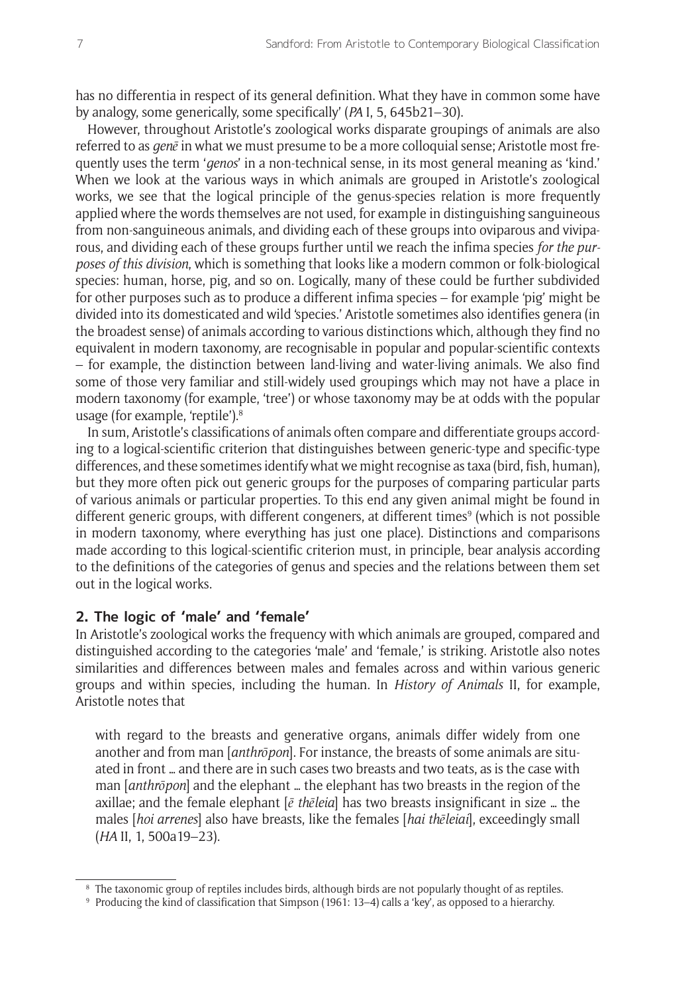has no differentia in respect of its general definition. What they have in common some have by analogy, some generically, some specifically' (*PA* I, 5, 645b21–30).

However, throughout Aristotle's zoological works disparate groupings of animals are also referred to as *genē* in what we must presume to be a more colloquial sense; Aristotle most frequently uses the term '*genos*' in a non-technical sense, in its most general meaning as 'kind.' When we look at the various ways in which animals are grouped in Aristotle's zoological works, we see that the logical principle of the genus-species relation is more frequently applied where the words themselves are not used, for example in distinguishing sanguineous from non-sanguineous animals, and dividing each of these groups into oviparous and viviparous, and dividing each of these groups further until we reach the infima species *for the purposes of this division*, which is something that looks like a modern common or folk-biological species: human, horse, pig, and so on. Logically, many of these could be further subdivided for other purposes such as to produce a different infima species – for example 'pig' might be divided into its domesticated and wild 'species.' Aristotle sometimes also identifies genera (in the broadest sense) of animals according to various distinctions which, although they find no equivalent in modern taxonomy, are recognisable in popular and popular-scientific contexts – for example, the distinction between land-living and water-living animals. We also find some of those very familiar and still-widely used groupings which may not have a place in modern taxonomy (for example, 'tree') or whose taxonomy may be at odds with the popular usage (for example, 'reptile').8

In sum, Aristotle's classifications of animals often compare and differentiate groups according to a logical-scientific criterion that distinguishes between generic-type and specific-type differences, and these sometimes identify what we might recognise as taxa (bird, fish, human), but they more often pick out generic groups for the purposes of comparing particular parts of various animals or particular properties. To this end any given animal might be found in different generic groups, with different congeners, at different times<sup>9</sup> (which is not possible in modern taxonomy, where everything has just one place). Distinctions and comparisons made according to this logical-scientific criterion must, in principle, bear analysis according to the definitions of the categories of genus and species and the relations between them set out in the logical works.

## **2. The logic of 'male' and 'female'**

In Aristotle's zoological works the frequency with which animals are grouped, compared and distinguished according to the categories 'male' and 'female,' is striking. Aristotle also notes similarities and differences between males and females across and within various generic groups and within species, including the human. In *History of Animals* II, for example, Aristotle notes that

with regard to the breasts and generative organs, animals differ widely from one another and from man [*anthrōpon*]. For instance, the breasts of some animals are situated in front … and there are in such cases two breasts and two teats, as is the case with man [*anthrōpon*] and the elephant … the elephant has two breasts in the region of the axillae; and the female elephant [*ē thēleia*] has two breasts insignificant in size … the males [*hoi arrenes*] also have breasts, like the females [*hai thēleiai*], exceedingly small (*HA* II, 1, 500a19–23).

<sup>&</sup>lt;sup>8</sup> The taxonomic group of reptiles includes birds, although birds are not popularly thought of as reptiles.

<sup>9</sup> Producing the kind of classification that Simpson (1961: 13–4) calls a 'key', as opposed to a hierarchy.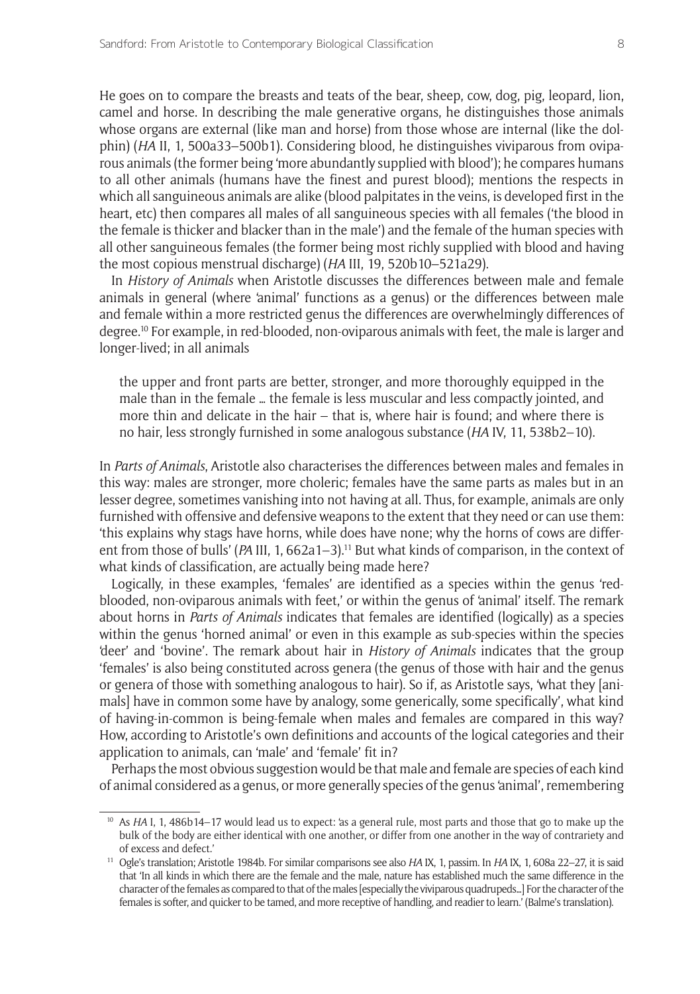He goes on to compare the breasts and teats of the bear, sheep, cow, dog, pig, leopard, lion, camel and horse. In describing the male generative organs, he distinguishes those animals whose organs are external (like man and horse) from those whose are internal (like the dolphin) (*HA* II, 1, 500a33–500b1). Considering blood, he distinguishes viviparous from oviparous animals (the former being 'more abundantly supplied with blood'); he compares humans to all other animals (humans have the finest and purest blood); mentions the respects in which all sanguineous animals are alike (blood palpitates in the veins, is developed first in the heart, etc) then compares all males of all sanguineous species with all females ('the blood in the female is thicker and blacker than in the male') and the female of the human species with all other sanguineous females (the former being most richly supplied with blood and having the most copious menstrual discharge) (*HA* III, 19, 520b10–521a29).

In *History of Animals* when Aristotle discusses the differences between male and female animals in general (where 'animal' functions as a genus) or the differences between male and female within a more restricted genus the differences are overwhelmingly differences of degree.10 For example, in red-blooded, non-oviparous animals with feet, the male is larger and longer-lived; in all animals

the upper and front parts are better, stronger, and more thoroughly equipped in the male than in the female … the female is less muscular and less compactly jointed, and more thin and delicate in the hair – that is, where hair is found; and where there is no hair, less strongly furnished in some analogous substance (*HA* IV, 11, 538b2–10).

In *Parts of Animals*, Aristotle also characterises the differences between males and females in this way: males are stronger, more choleric; females have the same parts as males but in an lesser degree, sometimes vanishing into not having at all. Thus, for example, animals are only furnished with offensive and defensive weapons to the extent that they need or can use them: 'this explains why stags have horns, while does have none; why the horns of cows are different from those of bulls' (*PA* III, 1, 662a1–3).<sup>11</sup> But what kinds of comparison, in the context of what kinds of classification, are actually being made here?

Logically, in these examples, 'females' are identified as a species within the genus 'redblooded, non-oviparous animals with feet,' or within the genus of 'animal' itself. The remark about horns in *Parts of Animals* indicates that females are identified (logically) as a species within the genus 'horned animal' or even in this example as sub-species within the species 'deer' and 'bovine'. The remark about hair in *History of Animals* indicates that the group 'females' is also being constituted across genera (the genus of those with hair and the genus or genera of those with something analogous to hair). So if, as Aristotle says, 'what they [animals] have in common some have by analogy, some generically, some specifically', what kind of having-in-common is being-female when males and females are compared in this way? How, according to Aristotle's own definitions and accounts of the logical categories and their application to animals, can 'male' and 'female' fit in?

Perhaps the most obvious suggestion would be that male and female are species of each kind of animal considered as a genus, or more generally species of the genus 'animal', remembering

<sup>&</sup>lt;sup>10</sup> As *HA* I, 1, 486b14–17 would lead us to expect: 'as a general rule, most parts and those that go to make up the bulk of the body are either identical with one another, or differ from one another in the way of contrariety and of excess and defect.'

<sup>11</sup> Ogle's translation; Aristotle 1984b. For similar comparisons see also *HA* IX, 1, passim. In *HA* IX, 1, 608a 22–27, it is said that 'In all kinds in which there are the female and the male, nature has established much the same difference in the character of the females as compared to that of the males [especially the viviparous quadrupeds…] For the character of the females is softer, and quicker to be tamed, and more receptive of handling, and readier to learn.' (Balme's translation).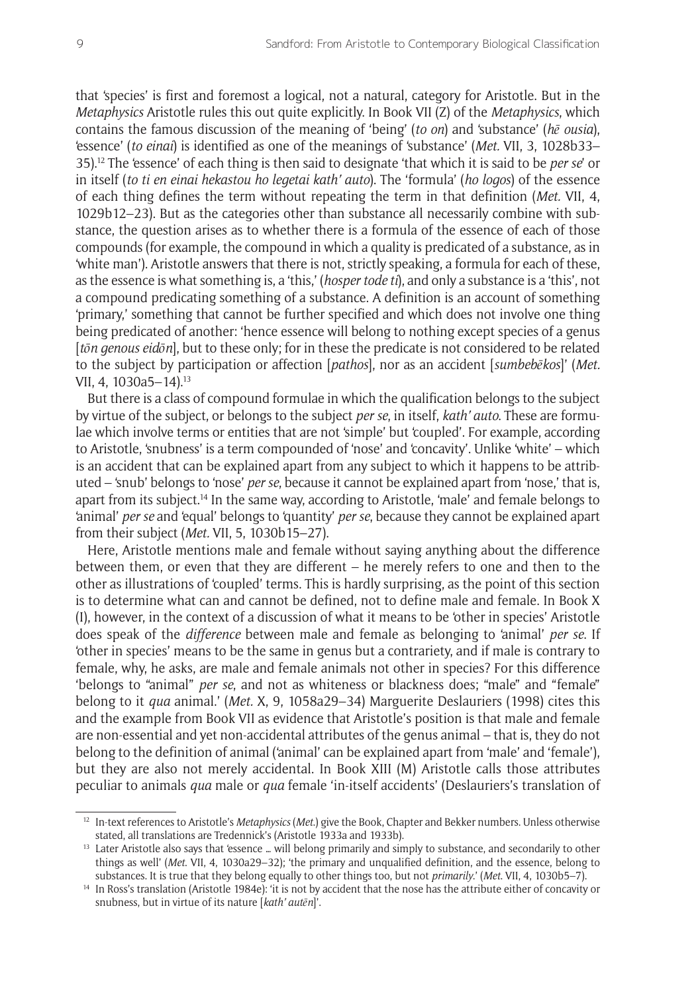that 'species' is first and foremost a logical, not a natural, category for Aristotle. But in the *Metaphysics* Aristotle rules this out quite explicitly. In Book VII (Z) of the *Metaphysics*, which contains the famous discussion of the meaning of 'being' (*to on*) and 'substance' (*hē ousia*), 'essence' (*to einai*) is identified as one of the meanings of 'substance' (*Met.* VII, 3, 1028b33– 35).12 The 'essence' of each thing is then said to designate 'that which it is said to be *per se*' or in itself (*to ti en einai hekastou ho legetai kath' auto*). The 'formula' (*ho logos*) of the essence of each thing defines the term without repeating the term in that definition (*Met.* VII, 4, 1029b12–23). But as the categories other than substance all necessarily combine with substance, the question arises as to whether there is a formula of the essence of each of those compounds (for example, the compound in which a quality is predicated of a substance, as in 'white man'). Aristotle answers that there is not, strictly speaking, a formula for each of these, as the essence is what something is, a 'this,' (*hosper tode ti*), and only a substance is a 'this', not a compound predicating something of a substance. A definition is an account of something 'primary,' something that cannot be further specified and which does not involve one thing being predicated of another: 'hence essence will belong to nothing except species of a genus [*tōn genous eidōn*], but to these only; for in these the predicate is not considered to be related to the subject by participation or affection [*pathos*], nor as an accident [*sumbebēkos*]' (*Met.* VII, 4, 1030a5–14).13

But there is a class of compound formulae in which the qualification belongs to the subject by virtue of the subject, or belongs to the subject *per se*, in itself, *kath' auto*. These are formulae which involve terms or entities that are not 'simple' but 'coupled'. For example, according to Aristotle, 'snubness' is a term compounded of 'nose' and 'concavity'. Unlike 'white' – which is an accident that can be explained apart from any subject to which it happens to be attributed – 'snub' belongs to 'nose' *per se*, because it cannot be explained apart from 'nose,' that is, apart from its subject.<sup>14</sup> In the same way, according to Aristotle, 'male' and female belongs to 'animal' *per se* and 'equal' belongs to 'quantity' *per se*, because they cannot be explained apart from their subject (*Met.* VII, 5, 1030b15–27).

Here, Aristotle mentions male and female without saying anything about the difference between them, or even that they are different – he merely refers to one and then to the other as illustrations of 'coupled' terms. This is hardly surprising, as the point of this section is to determine what can and cannot be defined, not to define male and female. In Book X (I), however, in the context of a discussion of what it means to be 'other in species' Aristotle does speak of the *difference* between male and female as belonging to 'animal' *per se*. If 'other in species' means to be the same in genus but a contrariety, and if male is contrary to female, why, he asks, are male and female animals not other in species? For this difference 'belongs to "animal" *per se*, and not as whiteness or blackness does; "male" and "female" belong to it *qua* animal.' (*Met.* X, 9, 1058a29–34) Marguerite Deslauriers (1998) cites this and the example from Book VII as evidence that Aristotle's position is that male and female are non-essential and yet non-accidental attributes of the genus animal – that is, they do not belong to the definition of animal ('animal' can be explained apart from 'male' and 'female'), but they are also not merely accidental. In Book XIII (M) Aristotle calls those attributes peculiar to animals *qua* male or *qua* female 'in-itself accidents' (Deslauriers's translation of

<sup>12</sup> In-text references to Aristotle's *Metaphysics* (*Met*.) give the Book, Chapter and Bekker numbers. Unless otherwise stated, all translations are Tredennick's (Aristotle 1933a and 1933b).

<sup>&</sup>lt;sup>13</sup> Later Aristotle also says that 'essence ... will belong primarily and simply to substance, and secondarily to other things as well' (*Met*. VII, 4, 1030a29–32); 'the primary and unqualified definition, and the essence, belong to substances. It is true that they belong equally to other things too, but not *primarily*.' (*Met*. VII, 4, 1030b5–7).

<sup>&</sup>lt;sup>14</sup> In Ross's translation (Aristotle 1984e): 'it is not by accident that the nose has the attribute either of concavity or snubness, but in virtue of its nature [*kath' autēn*]'.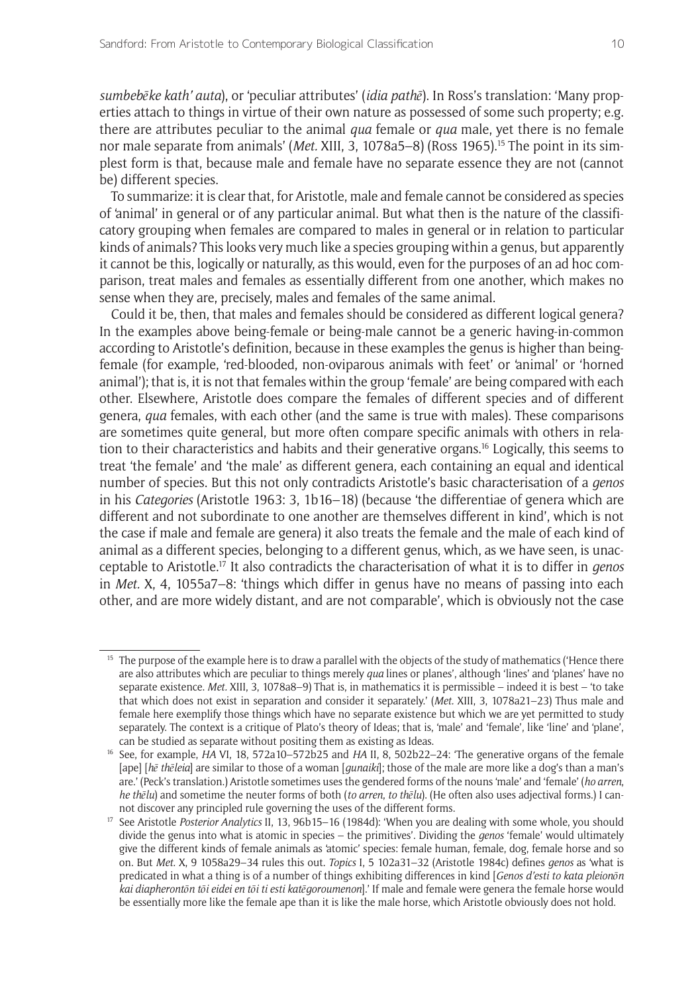*sumbebēke kath' auta*), or 'peculiar attributes' (*idia pathē*). In Ross's translation: 'Many properties attach to things in virtue of their own nature as possessed of some such property; e.g. there are attributes peculiar to the animal *qua* female or *qua* male, yet there is no female nor male separate from animals' (*Met.* XIII, 3, 1078a5–8) (Ross 1965).<sup>15</sup> The point in its simplest form is that, because male and female have no separate essence they are not (cannot be) different species.

To summarize: it is clear that, for Aristotle, male and female cannot be considered as species of 'animal' in general or of any particular animal. But what then is the nature of the classificatory grouping when females are compared to males in general or in relation to particular kinds of animals? This looks very much like a species grouping within a genus, but apparently it cannot be this, logically or naturally, as this would, even for the purposes of an ad hoc comparison, treat males and females as essentially different from one another, which makes no sense when they are, precisely, males and females of the same animal.

Could it be, then, that males and females should be considered as different logical genera? In the examples above being-female or being-male cannot be a generic having-in-common according to Aristotle's definition, because in these examples the genus is higher than beingfemale (for example, 'red-blooded, non-oviparous animals with feet' or 'animal' or 'horned animal'); that is, it is not that females within the group 'female' are being compared with each other. Elsewhere, Aristotle does compare the females of different species and of different genera, *qua* females, with each other (and the same is true with males). These comparisons are sometimes quite general, but more often compare specific animals with others in relation to their characteristics and habits and their generative organs.16 Logically, this seems to treat 'the female' and 'the male' as different genera, each containing an equal and identical number of species. But this not only contradicts Aristotle's basic characterisation of a *genos* in his *Categories* (Aristotle 1963: 3, 1b16–18) (because 'the differentiae of genera which are different and not subordinate to one another are themselves different in kind', which is not the case if male and female are genera) it also treats the female and the male of each kind of animal as a different species, belonging to a different genus, which, as we have seen, is unacceptable to Aristotle.17 It also contradicts the characterisation of what it is to differ in *genos* in *Met.* X, 4, 1055a7–8: 'things which differ in genus have no means of passing into each other, and are more widely distant, and are not comparable', which is obviously not the case

<sup>&</sup>lt;sup>15</sup> The purpose of the example here is to draw a parallel with the objects of the study of mathematics ('Hence there are also attributes which are peculiar to things merely *qua* lines or planes', although 'lines' and 'planes' have no separate existence. *Met.* XIII, 3, 1078a8–9) That is, in mathematics it is permissible – indeed it is best – 'to take that which does not exist in separation and consider it separately.' (*Met.* XIII, 3, 1078a21–23) Thus male and female here exemplify those things which have no separate existence but which we are yet permitted to study separately. The context is a critique of Plato's theory of Ideas; that is, 'male' and 'female', like 'line' and 'plane', can be studied as separate without positing them as existing as Ideas.

<sup>16</sup> See, for example, *HA* VI, 18, 572a10–572b25 and *HA* II, 8, 502b22–24: 'The generative organs of the female [ape] [*hē thēleia*] are similar to those of a woman [*gunaiki*]; those of the male are more like a dog's than a man's are.' (Peck's translation.) Aristotle sometimes uses the gendered forms of the nouns 'male' and 'female' (*ho arren*, *he thēlu*) and sometime the neuter forms of both (*to arren*, *to thēlu*). (He often also uses adjectival forms.) I cannot discover any principled rule governing the uses of the different forms.

<sup>&</sup>lt;sup>17</sup> See Aristotle *Posterior Analytics* II, 13, 96b15–16 (1984d): 'When you are dealing with some whole, you should divide the genus into what is atomic in species – the primitives'. Dividing the *genos* 'female' would ultimately give the different kinds of female animals as 'atomic' species: female human, female, dog, female horse and so on. But *Met.* X, 9 1058a29–34 rules this out. *Topics* I, 5 102a31–32 (Aristotle 1984c) defines *genos* as 'what is predicated in what a thing is of a number of things exhibiting differences in kind [*Genos d'esti to kata pleionōn kai diapherontōn tōi eidei en tōi ti esti katēgoroumenon*].' If male and female were genera the female horse would be essentially more like the female ape than it is like the male horse, which Aristotle obviously does not hold.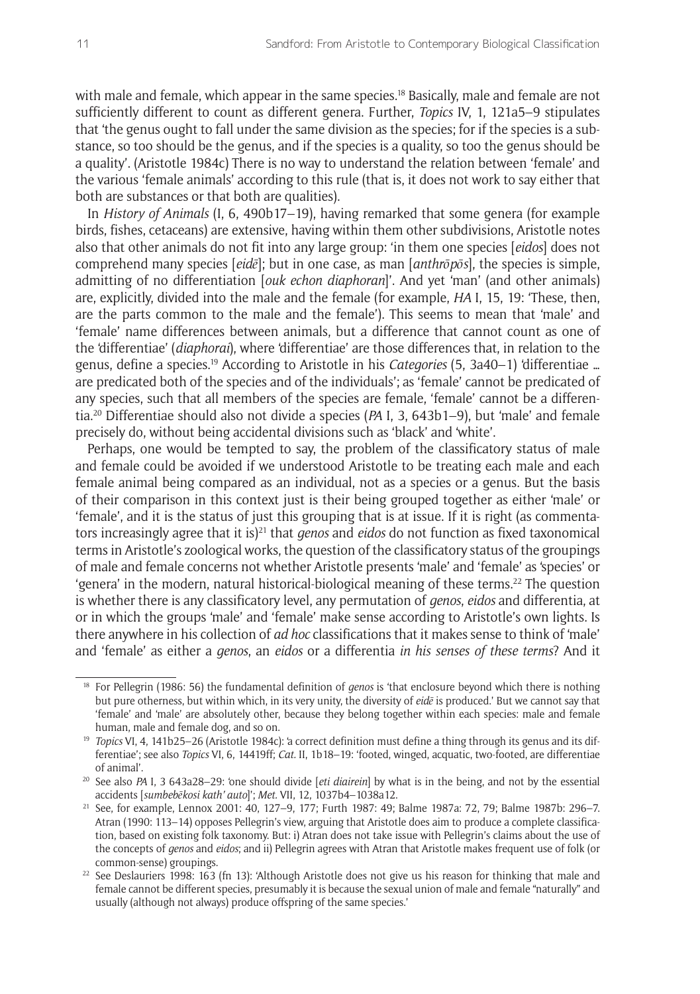with male and female, which appear in the same species.<sup>18</sup> Basically, male and female are not sufficiently different to count as different genera. Further, *Topics* IV, 1, 121a5–9 stipulates that 'the genus ought to fall under the same division as the species; for if the species is a substance, so too should be the genus, and if the species is a quality, so too the genus should be a quality'. (Aristotle 1984c) There is no way to understand the relation between 'female' and the various 'female animals' according to this rule (that is, it does not work to say either that both are substances or that both are qualities).

In *History of Animals* (I, 6, 490b17–19), having remarked that some genera (for example birds, fishes, cetaceans) are extensive, having within them other subdivisions, Aristotle notes also that other animals do not fit into any large group: 'in them one species [*eidos*] does not comprehend many species [*eidē*]; but in one case, as man [*anthrōpōs*], the species is simple, admitting of no differentiation [*ouk echon diaphoran*]'. And yet 'man' (and other animals) are, explicitly, divided into the male and the female (for example, *HA* I, 15, 19: 'These, then, are the parts common to the male and the female'). This seems to mean that 'male' and 'female' name differences between animals, but a difference that cannot count as one of the 'differentiae' (*diaphorai*), where 'differentiae' are those differences that, in relation to the genus, define a species.19 According to Aristotle in his *Categories* (5, 3a40–1) 'differentiae … are predicated both of the species and of the individuals'; as 'female' cannot be predicated of any species, such that all members of the species are female, 'female' cannot be a differentia.20 Differentiae should also not divide a species (*PA* I, 3, 643b1–9), but 'male' and female precisely do, without being accidental divisions such as 'black' and 'white'.

Perhaps, one would be tempted to say, the problem of the classificatory status of male and female could be avoided if we understood Aristotle to be treating each male and each female animal being compared as an individual, not as a species or a genus. But the basis of their comparison in this context just is their being grouped together as either 'male' or 'female', and it is the status of just this grouping that is at issue. If it is right (as commentators increasingly agree that it is)21 that *genos* and *eidos* do not function as fixed taxonomical terms in Aristotle's zoological works, the question of the classificatory status of the groupings of male and female concerns not whether Aristotle presents 'male' and 'female' as 'species' or 'genera' in the modern, natural historical-biological meaning of these terms.<sup>22</sup> The question is whether there is any classificatory level, any permutation of *genos*, *eidos* and differentia, at or in which the groups 'male' and 'female' make sense according to Aristotle's own lights. Is there anywhere in his collection of *ad hoc* classifications that it makes sense to think of 'male' and 'female' as either a *genos*, an *eidos* or a differentia *in his senses of these terms*? And it

<sup>&</sup>lt;sup>18</sup> For Pellegrin (1986: 56) the fundamental definition of *genos* is 'that enclosure beyond which there is nothing but pure otherness, but within which, in its very unity, the diversity of *eidē* is produced.' But we cannot say that 'female' and 'male' are absolutely other, because they belong together within each species: male and female human, male and female dog, and so on.

<sup>&</sup>lt;sup>19</sup> *Topics* VI, 4, 141b25-26 (Aristotle 1984c): 'a correct definition must define a thing through its genus and its differentiae'; see also *Topics* VI, 6, 14419ff; *Cat.* II, 1b18–19: 'footed, winged, acquatic, two-footed, are differentiae of animal'.

<sup>20</sup> See also *PA* I, 3 643a28–29: 'one should divide [*eti diairein*] by what is in the being, and not by the essential accidents [*sumbebēkosi kath' auto*]'; *Met.* VII, 12, 1037b4–1038a12.

<sup>21</sup> See, for example, Lennox 2001: 40, 127–9, 177; Furth 1987: 49; Balme 1987a: 72, 79; Balme 1987b: 296–7. Atran (1990: 113–14) opposes Pellegrin's view, arguing that Aristotle does aim to produce a complete classification, based on existing folk taxonomy. But: i) Atran does not take issue with Pellegrin's claims about the use of the concepts of *genos* and *eidos*; and ii) Pellegrin agrees with Atran that Aristotle makes frequent use of folk (or common-sense) groupings.

<sup>22</sup> See Deslauriers 1998: 163 (fn 13): 'Although Aristotle does not give us his reason for thinking that male and female cannot be different species, presumably it is because the sexual union of male and female "naturally" and usually (although not always) produce offspring of the same species.'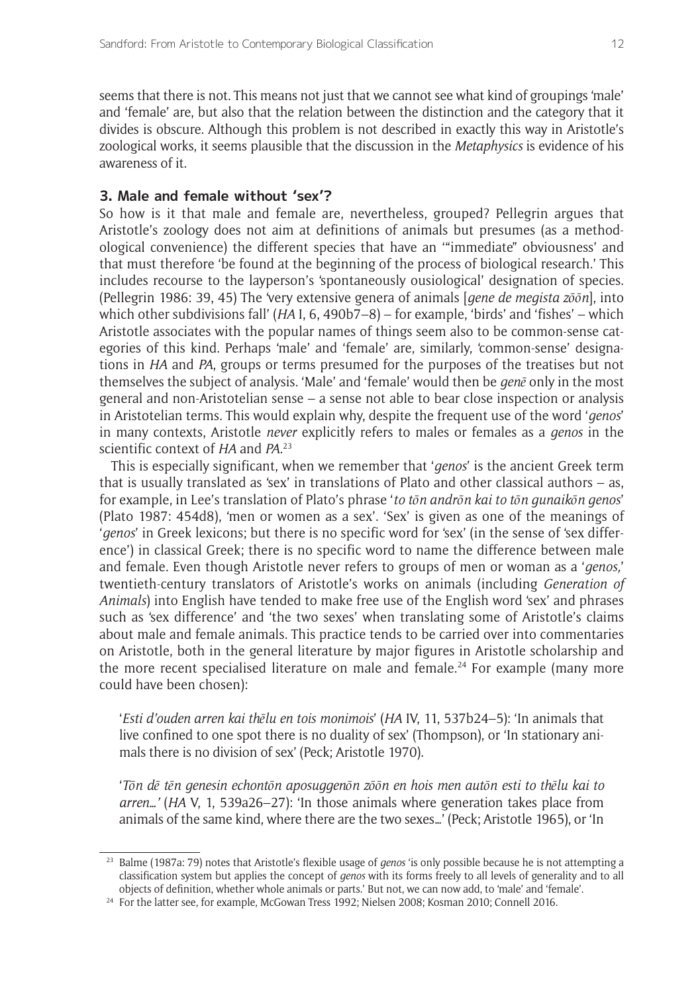seems that there is not. This means not just that we cannot see what kind of groupings 'male' and 'female' are, but also that the relation between the distinction and the category that it divides is obscure. Although this problem is not described in exactly this way in Aristotle's zoological works, it seems plausible that the discussion in the *Metaphysics* is evidence of his awareness of it.

## **3. Male and female without 'sex'?**

So how is it that male and female are, nevertheless, grouped? Pellegrin argues that Aristotle's zoology does not aim at definitions of animals but presumes (as a methodological convenience) the different species that have an '"immediate" obviousness' and that must therefore 'be found at the beginning of the process of biological research.' This includes recourse to the layperson's 'spontaneously ousiological' designation of species. (Pellegrin 1986: 39, 45) The 'very extensive genera of animals [*gene de megista zōōn*], into which other subdivisions fall' (*HA* I, 6, 490b7–8) – for example, 'birds' and 'fishes' – which Aristotle associates with the popular names of things seem also to be common-sense categories of this kind. Perhaps 'male' and 'female' are, similarly, 'common-sense' designations in *HA* and *PA*, groups or terms presumed for the purposes of the treatises but not themselves the subject of analysis. 'Male' and 'female' would then be *genē* only in the most general and non-Aristotelian sense – a sense not able to bear close inspection or analysis in Aristotelian terms. This would explain why, despite the frequent use of the word '*genos*' in many contexts, Aristotle *never* explicitly refers to males or females as a *genos* in the scientific context of *HA* and *PA*. 23

This is especially significant, when we remember that '*genos*' is the ancient Greek term that is usually translated as 'sex' in translations of Plato and other classical authors – as, for example, in Lee's translation of Plato's phrase '*to tōn andrōn kai to tōn gunaikōn genos*' (Plato 1987: 454d8), 'men or women as a sex'. 'Sex' is given as one of the meanings of '*genos*' in Greek lexicons; but there is no specific word for 'sex' (in the sense of 'sex difference') in classical Greek; there is no specific word to name the difference between male and female. Even though Aristotle never refers to groups of men or woman as a '*genos,*' twentieth-century translators of Aristotle's works on animals (including *Generation of Animals*) into English have tended to make free use of the English word 'sex' and phrases such as 'sex difference' and 'the two sexes' when translating some of Aristotle's claims about male and female animals. This practice tends to be carried over into commentaries on Aristotle, both in the general literature by major figures in Aristotle scholarship and the more recent specialised literature on male and female.<sup>24</sup> For example (many more could have been chosen):

'*Esti d'ouden arren kai thēlu en tois monimois*' (*HA* IV, 11, 537b24–5): 'In animals that live confined to one spot there is no duality of sex' (Thompson), or 'In stationary animals there is no division of sex' (Peck; Aristotle 1970).

'*Tōn dē tēn genesin echontōn aposuggenōn zōōn en hois men autōn esti to thēlu kai to arren…'* (*HA* V, 1, 539a26–27): 'In those animals where generation takes place from animals of the same kind, where there are the two sexes…' (Peck; Aristotle 1965), or 'In

<sup>23</sup> Balme (1987a: 79) notes that Aristotle's flexible usage of *genos* 'is only possible because he is not attempting a classification system but applies the concept of *genos* with its forms freely to all levels of generality and to all objects of definition, whether whole animals or parts.' But not, we can now add, to 'male' and 'female'.

<sup>&</sup>lt;sup>24</sup> For the latter see, for example, McGowan Tress 1992; Nielsen 2008; Kosman 2010; Connell 2016.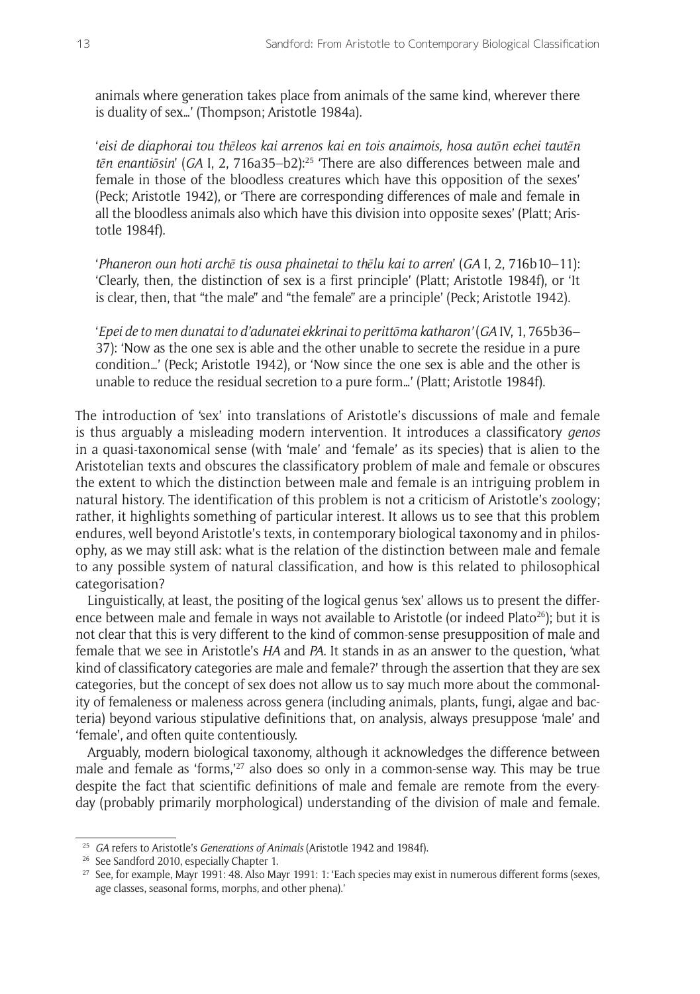animals where generation takes place from animals of the same kind, wherever there is duality of sex…' (Thompson; Aristotle 1984a).

'*eisi de diaphorai tou thēleos kai arrenos kai en tois anaimois, hosa autōn echei tautēn tēn enantiōsin*' (*GA* I, 2, 716a35–b2):25 'There are also differences between male and female in those of the bloodless creatures which have this opposition of the sexes' (Peck; Aristotle 1942), or 'There are corresponding differences of male and female in all the bloodless animals also which have this division into opposite sexes' (Platt; Aristotle 1984f).

'*Phaneron oun hoti archē tis ousa phainetai to thēlu kai to arren*' (*GA* I, 2, 716b10–11): 'Clearly, then, the distinction of sex is a first principle' (Platt; Aristotle 1984f), or 'It is clear, then, that "the male" and "the female" are a principle' (Peck; Aristotle 1942).

'*Epei de to men dunatai to d'adunatei ekkrinai to perittōma katharon'* (*GA* IV, 1, 765b36– 37): 'Now as the one sex is able and the other unable to secrete the residue in a pure condition…' (Peck; Aristotle 1942), or 'Now since the one sex is able and the other is unable to reduce the residual secretion to a pure form…' (Platt; Aristotle 1984f).

The introduction of 'sex' into translations of Aristotle's discussions of male and female is thus arguably a misleading modern intervention. It introduces a classificatory *genos* in a quasi-taxonomical sense (with 'male' and 'female' as its species) that is alien to the Aristotelian texts and obscures the classificatory problem of male and female or obscures the extent to which the distinction between male and female is an intriguing problem in natural history. The identification of this problem is not a criticism of Aristotle's zoology; rather, it highlights something of particular interest. It allows us to see that this problem endures, well beyond Aristotle's texts, in contemporary biological taxonomy and in philosophy, as we may still ask: what is the relation of the distinction between male and female to any possible system of natural classification, and how is this related to philosophical categorisation?

Linguistically, at least, the positing of the logical genus 'sex' allows us to present the difference between male and female in ways not available to Aristotle (or indeed Plato $^{26}$ ); but it is not clear that this is very different to the kind of common-sense presupposition of male and female that we see in Aristotle's *HA* and *PA*. It stands in as an answer to the question, 'what kind of classificatory categories are male and female?' through the assertion that they are sex categories, but the concept of sex does not allow us to say much more about the commonality of femaleness or maleness across genera (including animals, plants, fungi, algae and bacteria) beyond various stipulative definitions that, on analysis, always presuppose 'male' and 'female', and often quite contentiously.

Arguably, modern biological taxonomy, although it acknowledges the difference between male and female as 'forms,'27 also does so only in a common-sense way. This may be true despite the fact that scientific definitions of male and female are remote from the everyday (probably primarily morphological) understanding of the division of male and female.

<sup>25</sup> *GA* refers to Aristotle's *Generations of Animals* (Aristotle 1942 and 1984f).

<sup>&</sup>lt;sup>26</sup> See Sandford 2010, especially Chapter 1.

<sup>&</sup>lt;sup>27</sup> See, for example, Mayr 1991: 48. Also Mayr 1991: 1: 'Each species may exist in numerous different forms (sexes, age classes, seasonal forms, morphs, and other phena).'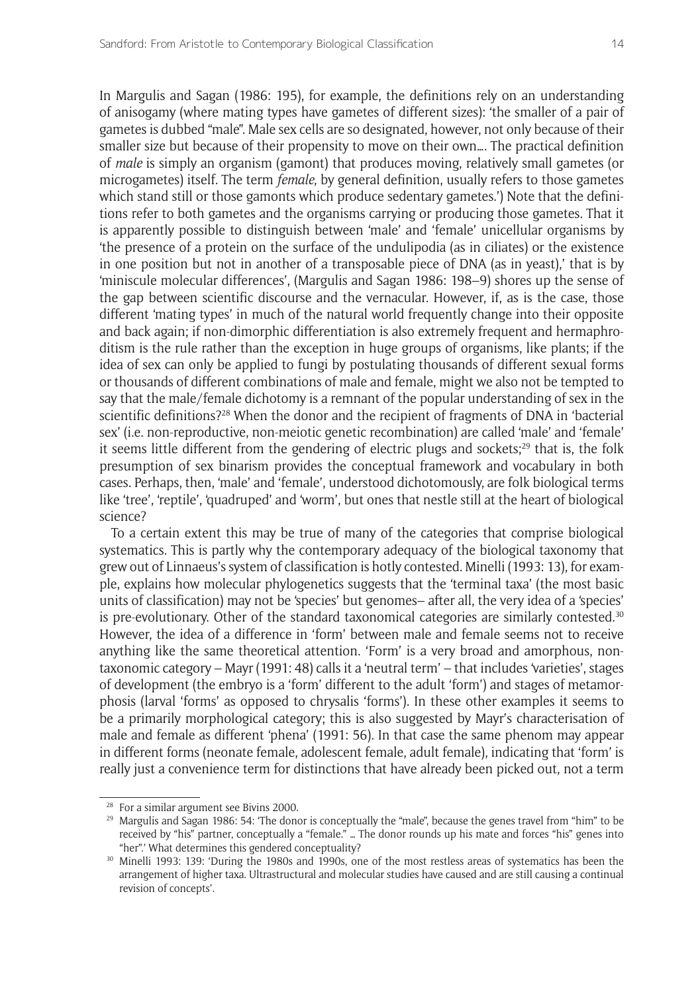In Margulis and Sagan (1986: 195), for example, the definitions rely on an understanding of anisogamy (where mating types have gametes of different sizes): 'the smaller of a pair of gametes is dubbed "male". Male sex cells are so designated, however, not only because of their smaller size but because of their propensity to move on their own…. The practical definition of *male* is simply an organism (gamont) that produces moving, relatively small gametes (or microgametes) itself. The term *female*, by general definition, usually refers to those gametes which stand still or those gamonts which produce sedentary gametes.') Note that the definitions refer to both gametes and the organisms carrying or producing those gametes. That it is apparently possible to distinguish between 'male' and 'female' unicellular organisms by 'the presence of a protein on the surface of the undulipodia (as in ciliates) or the existence in one position but not in another of a transposable piece of DNA (as in yeast),' that is by 'miniscule molecular differences', (Margulis and Sagan 1986: 198–9) shores up the sense of the gap between scientific discourse and the vernacular. However, if, as is the case, those different 'mating types' in much of the natural world frequently change into their opposite and back again; if non-dimorphic differentiation is also extremely frequent and hermaphroditism is the rule rather than the exception in huge groups of organisms, like plants; if the idea of sex can only be applied to fungi by postulating thousands of different sexual forms or thousands of different combinations of male and female, might we also not be tempted to say that the male/female dichotomy is a remnant of the popular understanding of sex in the scientific definitions?28 When the donor and the recipient of fragments of DNA in 'bacterial sex' (i.e. non-reproductive, non-meiotic genetic recombination) are called 'male' and 'female' it seems little different from the gendering of electric plugs and sockets; $29$  that is, the folk presumption of sex binarism provides the conceptual framework and vocabulary in both cases. Perhaps, then, 'male' and 'female', understood dichotomously, are folk biological terms like 'tree', 'reptile', 'quadruped' and 'worm', but ones that nestle still at the heart of biological science?

To a certain extent this may be true of many of the categories that comprise biological systematics. This is partly why the contemporary adequacy of the biological taxonomy that grew out of Linnaeus's system of classification is hotly contested. Minelli (1993: 13), for example, explains how molecular phylogenetics suggests that the 'terminal taxa' (the most basic units of classification) may not be 'species' but genomes– after all, the very idea of a 'species' is pre-evolutionary. Other of the standard taxonomical categories are similarly contested.30 However, the idea of a difference in 'form' between male and female seems not to receive anything like the same theoretical attention. 'Form' is a very broad and amorphous, nontaxonomic category – Mayr (1991: 48) calls it a 'neutral term' – that includes 'varieties', stages of development (the embryo is a 'form' different to the adult 'form') and stages of metamorphosis (larval 'forms' as opposed to chrysalis 'forms'). In these other examples it seems to be a primarily morphological category; this is also suggested by Mayr's characterisation of male and female as different 'phena' (1991: 56). In that case the same phenom may appear in different forms (neonate female, adolescent female, adult female), indicating that 'form' is really just a convenience term for distinctions that have already been picked out, not a term

<sup>28</sup> For a similar argument see Bivins 2000.

<sup>&</sup>lt;sup>29</sup> Margulis and Sagan 1986: 54: 'The donor is conceptually the "male", because the genes travel from "him" to be received by "his" partner, conceptually a "female." … The donor rounds up his mate and forces "his" genes into "her".' What determines this gendered conceptuality?

<sup>30</sup> Minelli 1993: 139: 'During the 1980s and 1990s, one of the most restless areas of systematics has been the arrangement of higher taxa. Ultrastructural and molecular studies have caused and are still causing a continual revision of concepts'.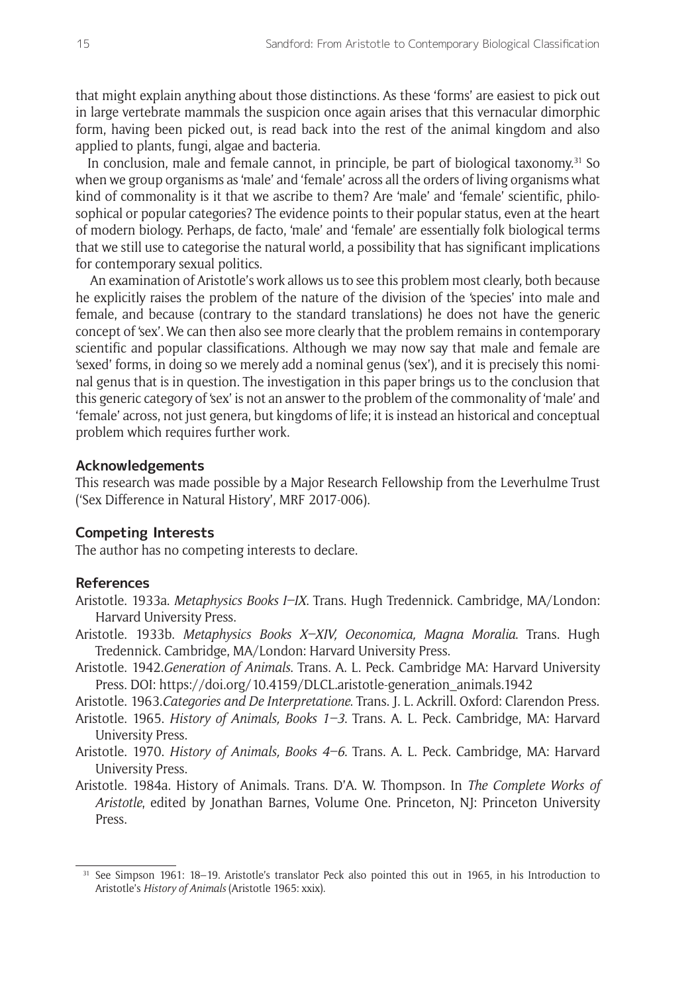that might explain anything about those distinctions. As these 'forms' are easiest to pick out in large vertebrate mammals the suspicion once again arises that this vernacular dimorphic form, having been picked out, is read back into the rest of the animal kingdom and also applied to plants, fungi, algae and bacteria.

In conclusion, male and female cannot, in principle, be part of biological taxonomy.<sup>31</sup> So when we group organisms as 'male' and 'female' across all the orders of living organisms what kind of commonality is it that we ascribe to them? Are 'male' and 'female' scientific, philosophical or popular categories? The evidence points to their popular status, even at the heart of modern biology. Perhaps, de facto, 'male' and 'female' are essentially folk biological terms that we still use to categorise the natural world, a possibility that has significant implications for contemporary sexual politics.

 An examination of Aristotle's work allows us to see this problem most clearly, both because he explicitly raises the problem of the nature of the division of the 'species' into male and female, and because (contrary to the standard translations) he does not have the generic concept of 'sex'. We can then also see more clearly that the problem remains in contemporary scientific and popular classifications. Although we may now say that male and female are 'sexed' forms, in doing so we merely add a nominal genus ('sex'), and it is precisely this nominal genus that is in question. The investigation in this paper brings us to the conclusion that this generic category of 'sex' is not an answer to the problem of the commonality of 'male' and 'female' across, not just genera, but kingdoms of life; it is instead an historical and conceptual problem which requires further work.

#### **Acknowledgements**

This research was made possible by a Major Research Fellowship from the Leverhulme Trust ('Sex Difference in Natural History', MRF 2017-006).

#### **Competing Interests**

The author has no competing interests to declare.

#### **References**

- Aristotle. 1933a. *Metaphysics Books I–IX*. Trans. Hugh Tredennick. Cambridge, MA/London: Harvard University Press.
- Aristotle. 1933b. *Metaphysics Books X–XIV, Oeconomica, Magna Moralia*. Trans. Hugh Tredennick. Cambridge, MA/London: Harvard University Press.
- Aristotle. 1942.*Generation of Animals*. Trans. A. L. Peck. Cambridge MA: Harvard University Press. DOI: [https://doi.org/10.4159/DLCL.aristotle-generation\\_animals.1942](https://doi.org/10.4159/DLCL.aristotle-generation_animals.1942)

Aristotle. 1963.*Categories and De Interpretatione*. Trans. J. L. Ackrill. Oxford: Clarendon Press.

- Aristotle. 1965. *History of Animals, Books 1–3*. Trans. A. L. Peck. Cambridge, MA: Harvard University Press.
- Aristotle. 1970. *History of Animals, Books 4–6*. Trans. A. L. Peck. Cambridge, MA: Harvard University Press.
- Aristotle. 1984a. History of Animals. Trans. D'A. W. Thompson. In *The Complete Works of Aristotle*, edited by Jonathan Barnes, Volume One. Princeton, NJ: Princeton University Press.

<sup>31</sup> See Simpson 1961: 18–19. Aristotle's translator Peck also pointed this out in 1965, in his Introduction to Aristotle's *History of Animals* (Aristotle 1965: xxix).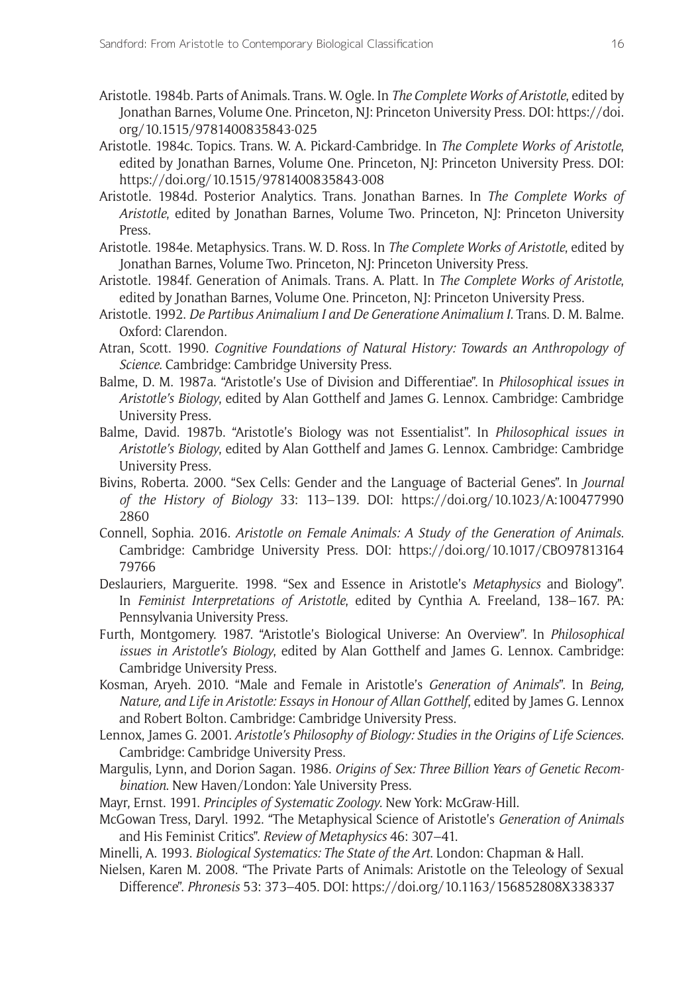- Aristotle. 1984b. Parts of Animals. Trans. W. Ogle. In *The Complete Works of Aristotle*, edited by Jonathan Barnes, Volume One. Princeton, NJ: Princeton University Press. DOI: [https://doi.](https://doi.org/10.1515/9781400835843-025) [org/10.1515/9781400835843-025](https://doi.org/10.1515/9781400835843-025)
- Aristotle. 1984c. Topics. Trans. W. A. Pickard-Cambridge. In *The Complete Works of Aristotle*, edited by Jonathan Barnes, Volume One. Princeton, NJ: Princeton University Press. DOI: <https://doi.org/10.1515/9781400835843-008>
- Aristotle. 1984d. Posterior Analytics. Trans. Jonathan Barnes. In *The Complete Works of Aristotle*, edited by Jonathan Barnes, Volume Two. Princeton, NJ: Princeton University Press.
- Aristotle. 1984e. Metaphysics. Trans. W. D. Ross. In *The Complete Works of Aristotle*, edited by Jonathan Barnes, Volume Two. Princeton, NJ: Princeton University Press.
- Aristotle. 1984f. Generation of Animals. Trans. A. Platt. In *The Complete Works of Aristotle*, edited by Jonathan Barnes, Volume One. Princeton, NJ: Princeton University Press.
- Aristotle. 1992. *De Partibus Animalium I and De Generatione Animalium I*. Trans. D. M. Balme. Oxford: Clarendon.
- Atran, Scott. 1990. *Cognitive Foundations of Natural History: Towards an Anthropology of Science*. Cambridge: Cambridge University Press.
- Balme, D. M. 1987a. "Aristotle's Use of Division and Differentiae". In *Philosophical issues in Aristotle's Biology*, edited by Alan Gotthelf and James G. Lennox. Cambridge: Cambridge University Press.
- Balme, David. 1987b. "Aristotle's Biology was not Essentialist". In *Philosophical issues in Aristotle's Biology*, edited by Alan Gotthelf and James G. Lennox. Cambridge: Cambridge University Press.
- Bivins, Roberta. 2000. "Sex Cells: Gender and the Language of Bacterial Genes". In *Journal of the History of Biology* 33: 113–139. DOI: [https://doi.org/10.1023/A:100477990](https://doi.org/10.1023/A:1004779902860) [2860](https://doi.org/10.1023/A:1004779902860)
- Connell, Sophia. 2016. *Aristotle on Female Animals: A Study of the Generation of Animals*. Cambridge: Cambridge University Press. DOI: [https://doi.org/10.1017/CBO97813164](https://doi.org/10.1017/CBO9781316479766) [79766](https://doi.org/10.1017/CBO9781316479766)
- Deslauriers, Marguerite. 1998. "Sex and Essence in Aristotle's *Metaphysics* and Biology". In *Feminist Interpretations of Aristotle*, edited by Cynthia A. Freeland, 138–167. PA: Pennsylvania University Press.
- Furth, Montgomery. 1987. "Aristotle's Biological Universe: An Overview". In *Philosophical issues in Aristotle's Biology*, edited by Alan Gotthelf and James G. Lennox. Cambridge: Cambridge University Press.
- Kosman, Aryeh. 2010. "Male and Female in Aristotle's *Generation of Animals*". In *Being, Nature, and Life in Aristotle: Essays in Honour of Allan Gotthelf*, edited by James G. Lennox and Robert Bolton. Cambridge: Cambridge University Press.
- Lennox, James G. 2001. *Aristotle's Philosophy of Biology: Studies in the Origins of Life Sciences*. Cambridge: Cambridge University Press.
- Margulis, Lynn, and Dorion Sagan. 1986. *Origins of Sex: Three Billion Years of Genetic Recombination*. New Haven/London: Yale University Press.
- Mayr, Ernst. 1991. *Principles of Systematic Zoology*. New York: McGraw-Hill.
- McGowan Tress, Daryl. 1992. "The Metaphysical Science of Aristotle's *Generation of Animals* and His Feminist Critics". *Review of Metaphysics* 46: 307–41.
- Minelli, A. 1993. *Biological Systematics: The State of the Art*. London: Chapman & Hall.
- Nielsen, Karen M. 2008. "The Private Parts of Animals: Aristotle on the Teleology of Sexual Difference". *Phronesis* 53: 373–405. DOI: <https://doi.org/10.1163/156852808X338337>